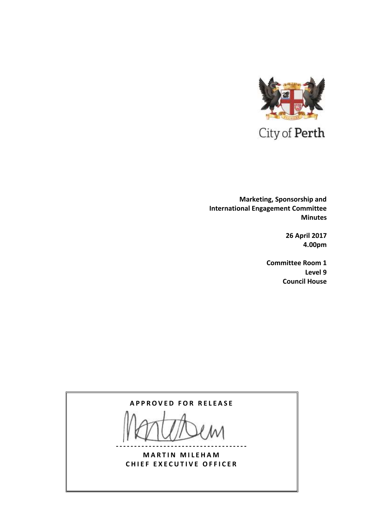

 **Marketing, Sponsorship and International Engagement Committee Minutes**

> **26 April 2017 4.00pm**

**Committee Room 1 Level 9 Council House**

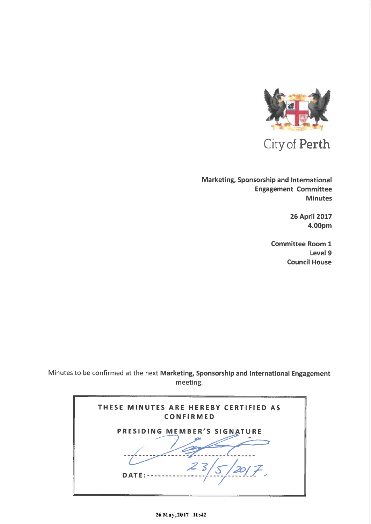

City of Perth

Marketing, Sponsorship and International **Engagement Committee Minutes** 

> **26 April 2017** 4.00pm

**Committee Room 1** Level 9 **Council House** 

Minutes to be confirmed at the next Marketing, Sponsorship and International Engagement meeting.

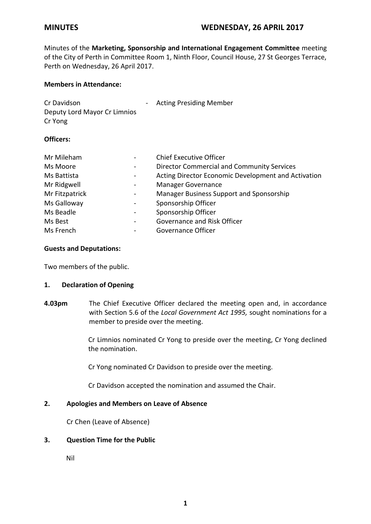Minutes of the **Marketing, Sponsorship and International Engagement Committee** meeting of the City of Perth in Committee Room 1, Ninth Floor, Council House, 27 St Georges Terrace, Perth on Wednesday, 26 April 2017.

## **Members in Attendance:**

| Cr Davidson<br>$\sim$<br>Deputy Lord Mayor Cr Limnios<br>Cr Yong |                              | <b>Acting Presiding Member</b>                      |
|------------------------------------------------------------------|------------------------------|-----------------------------------------------------|
| <b>Officers:</b>                                                 |                              |                                                     |
| Mr Mileham                                                       |                              | <b>Chief Executive Officer</b>                      |
| Ms Moore                                                         | $\overline{\phantom{m}}$     | <b>Director Commercial and Community Services</b>   |
| Ms Battista                                                      | $\qquad \qquad \blacksquare$ | Acting Director Economic Development and Activation |
| Mr Ridgwell                                                      |                              | <b>Manager Governance</b>                           |

| Mr Fitzpatrick | Manager Business Support and Sponsorship |
|----------------|------------------------------------------|
|----------------|------------------------------------------|

| Ms Galloway | Sponsorship Officer |
|-------------|---------------------|
| .           |                     |

| Ms Beadle | - | Sponsorship Officer         |  |
|-----------|---|-----------------------------|--|
| Ms Best   | - | Governance and Risk Officer |  |

| .         | ________________   |
|-----------|--------------------|
| Ms French | Governance Officer |

# **Guests and Deputations:**

Two members of the public.

### **1. Declaration of Opening**

**4.03pm** The Chief Executive Officer declared the meeting open and, in accordance with Section 5.6 of the *Local Government Act 1995,* sought nominations for a member to preside over the meeting.

> Cr Limnios nominated Cr Yong to preside over the meeting, Cr Yong declined the nomination.

Cr Yong nominated Cr Davidson to preside over the meeting.

Cr Davidson accepted the nomination and assumed the Chair.

# **2. Apologies and Members on Leave of Absence**

Cr Chen (Leave of Absence)

# **3. Question Time for the Public**

Nil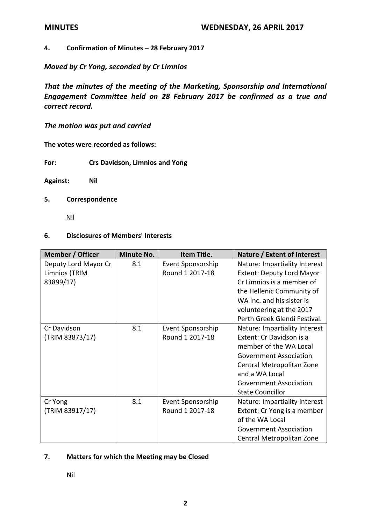# **4. Confirmation of Minutes – 28 February 2017**

*Moved by Cr Yong, seconded by Cr Limnios*

*That the minutes of the meeting of the Marketing, Sponsorship and International Engagement Committee held on 28 February 2017 be confirmed as a true and correct record.*

*The motion was put and carried*

**The votes were recorded as follows:**

**For: Crs Davidson, Limnios and Yong**

**Against: Nil**

### **5. Correspondence**

Nil

## **6. Disclosures of Members' Interests**

| <b>Member / Officer</b> | <b>Minute No.</b> | Item Title.       | Nature / Extent of Interest      |
|-------------------------|-------------------|-------------------|----------------------------------|
| Deputy Lord Mayor Cr    | 8.1               | Event Sponsorship | Nature: Impartiality Interest    |
| Limnios (TRIM           |                   | Round 1 2017-18   | <b>Extent: Deputy Lord Mayor</b> |
| 83899/17)               |                   |                   | Cr Limnios is a member of        |
|                         |                   |                   | the Hellenic Community of        |
|                         |                   |                   | WA Inc. and his sister is        |
|                         |                   |                   | volunteering at the 2017         |
|                         |                   |                   | Perth Greek Glendi Festival.     |
| Cr Davidson             | 8.1               | Event Sponsorship | Nature: Impartiality Interest    |
| (TRIM 83873/17)         |                   | Round 1 2017-18   | Extent: Cr Davidson is a         |
|                         |                   |                   | member of the WA Local           |
|                         |                   |                   | <b>Government Association</b>    |
|                         |                   |                   | Central Metropolitan Zone        |
|                         |                   |                   | and a WA Local                   |
|                         |                   |                   | <b>Government Association</b>    |
|                         |                   |                   | <b>State Councillor</b>          |
| Cr Yong                 | 8.1               | Event Sponsorship | Nature: Impartiality Interest    |
| (TRIM 83917/17)         |                   | Round 1 2017-18   | Extent: Cr Yong is a member      |
|                         |                   |                   | of the WA Local                  |
|                         |                   |                   | <b>Government Association</b>    |
|                         |                   |                   | Central Metropolitan Zone        |

### **7. Matters for which the Meeting may be Closed**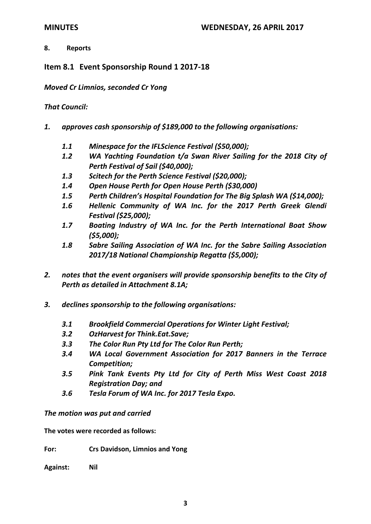# **8. Reports**

**Item 8.1 Event Sponsorship Round 1 2017-18**

*Moved Cr Limnios, seconded Cr Yong* 

# *That Council:*

- *1. approves cash sponsorship of \$189,000 to the following organisations:*
	- *1.1 Minespace for the IFLScience Festival (\$50,000);*
	- *1.2 WA Yachting Foundation t/a Swan River Sailing for the 2018 City of Perth Festival of Sail (\$40,000);*
	- *1.3 Scitech for the Perth Science Festival (\$20,000);*
	- *1.4 Open House Perth for Open House Perth (\$30,000)*
	- *1.5 Perth Children's Hospital Foundation for The Big Splash WA (\$14,000);*
	- *1.6 Hellenic Community of WA Inc. for the 2017 Perth Greek Glendi Festival (\$25,000);*
	- *1.7 Boating Industry of WA Inc. for the Perth International Boat Show (\$5,000);*
	- *1.8 Sabre Sailing Association of WA Inc. for the Sabre Sailing Association 2017/18 National Championship Regatta (\$5,000);*
- *2. notes that the event organisers will provide sponsorship benefits to the City of Perth as detailed in Attachment 8.1A;*
- *3. declines sponsorship to the following organisations:*
	- *3.1 Brookfield Commercial Operations for Winter Light Festival;*
	- *3.2 OzHarvest for Think.Eat.Save;*
	- *3.3 The Color Run Pty Ltd for The Color Run Perth;*
	- *3.4 WA Local Government Association for 2017 Banners in the Terrace Competition;*
	- *3.5 Pink Tank Events Pty Ltd for City of Perth Miss West Coast 2018 Registration Day; and*
	- *3.6 Tesla Forum of WA Inc. for 2017 Tesla Expo.*

*The motion was put and carried*

**The votes were recorded as follows:**

**For: Crs Davidson, Limnios and Yong**

**Against: Nil**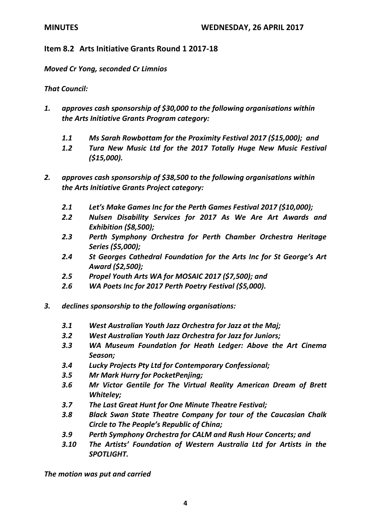# **Item 8.2 Arts Initiative Grants Round 1 2017-18**

*Moved Cr Yong, seconded Cr Limnios*

*That Council:*

- *1. approves cash sponsorship of \$30,000 to the following organisations within the Arts Initiative Grants Program category:*
	- *1.1 Ms Sarah Rowbottam for the Proximity Festival 2017 (\$15,000); and*
	- *1.2 Tura New Music Ltd for the 2017 Totally Huge New Music Festival (\$15,000).*
- *2. approves cash sponsorship of \$38,500 to the following organisations within the Arts Initiative Grants Project category:*
	- *2.1 Let's Make Games Inc for the Perth Games Festival 2017 (\$10,000);*
	- *2.2 Nulsen Disability Services for 2017 As We Are Art Awards and Exhibition (\$8,500);*
	- *2.3 Perth Symphony Orchestra for Perth Chamber Orchestra Heritage Series (\$5,000);*
	- *2.4 St Georges Cathedral Foundation for the Arts Inc for St George's Art Award (\$2,500);*
	- *2.5 Propel Youth Arts WA for MOSAIC 2017 (\$7,500); and*
	- *2.6 WA Poets Inc for 2017 Perth Poetry Festival (\$5,000).*
- *3. declines sponsorship to the following organisations:*
	- *3.1 West Australian Youth Jazz Orchestra for Jazz at the Maj;*
	- *3.2 West Australian Youth Jazz Orchestra for Jazz for Juniors;*
	- *3.3 WA Museum Foundation for Heath Ledger: Above the Art Cinema Season;*
	- *3.4 Lucky Projects Pty Ltd for Contemporary Confessional;*
	- *3.5 Mr Mark Hurry for PocketPenjing;*
	- *3.6 Mr Victor Gentile for The Virtual Reality American Dream of Brett Whiteley;*
	- *3.7 The Last Great Hunt for One Minute Theatre Festival;*
	- *3.8 Black Swan State Theatre Company for tour of the Caucasian Chalk Circle to The People's Republic of China;*
	- *3.9 Perth Symphony Orchestra for CALM and Rush Hour Concerts; and*
	- *3.10 The Artists' Foundation of Western Australia Ltd for Artists in the SPOTLIGHT.*

*The motion was put and carried*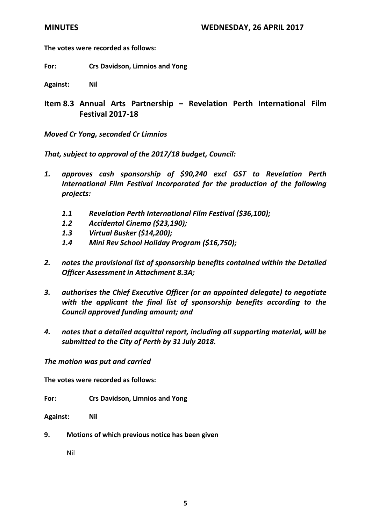**The votes were recorded as follows:**

**For: Crs Davidson, Limnios and Yong**

**Against: Nil**

**Item 8.3 Annual Arts Partnership – Revelation Perth International Film Festival 2017-18**

*Moved Cr Yong, seconded Cr Limnios*

*That, subject to approval of the 2017/18 budget, Council:*

- *1. approves cash sponsorship of \$90,240 excl GST to Revelation Perth International Film Festival Incorporated for the production of the following projects:*
	- *1.1 Revelation Perth International Film Festival (\$36,100);*
	- *1.2 Accidental Cinema (\$23,190);*
	- *1.3 Virtual Busker (\$14,200);*
	- *1.4 Mini Rev School Holiday Program (\$16,750);*
- *2. notes the provisional list of sponsorship benefits contained within the Detailed Officer Assessment in Attachment 8.3A;*
- *3. authorises the Chief Executive Officer (or an appointed delegate) to negotiate with the applicant the final list of sponsorship benefits according to the Council approved funding amount; and*
- *4. notes that a detailed acquittal report, including all supporting material, will be submitted to the City of Perth by 31 July 2018.*

*The motion was put and carried*

**The votes were recorded as follows:**

**For: Crs Davidson, Limnios and Yong**

**Against: Nil**

**9. Motions of which previous notice has been given**

Nil